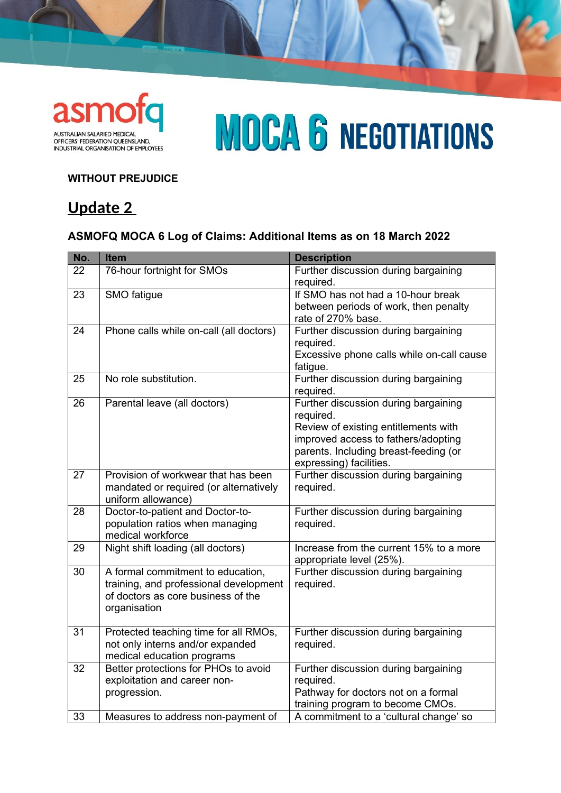

# **MOCA 6 NEGOTIATIONS**

### **WITHOUT PREJUDICE**

## **Update 2**

### **ASMOFQ MOCA 6 Log of Claims: Additional Items as on 18 March 2022**

| No. | <b>Item</b>                             | <b>Description</b>                                                          |
|-----|-----------------------------------------|-----------------------------------------------------------------------------|
| 22  | 76-hour fortnight for SMOs              | Further discussion during bargaining                                        |
|     |                                         | required.                                                                   |
| 23  | SMO fatigue                             | If SMO has not had a 10-hour break                                          |
|     |                                         | between periods of work, then penalty                                       |
|     |                                         | rate of 270% base.                                                          |
| 24  | Phone calls while on-call (all doctors) | Further discussion during bargaining                                        |
|     |                                         | required.                                                                   |
|     |                                         | Excessive phone calls while on-call cause                                   |
|     |                                         | fatigue.                                                                    |
| 25  | No role substitution.                   | Further discussion during bargaining                                        |
|     |                                         | required.                                                                   |
| 26  | Parental leave (all doctors)            | Further discussion during bargaining                                        |
|     |                                         | required.                                                                   |
|     |                                         | Review of existing entitlements with<br>improved access to fathers/adopting |
|     |                                         | parents. Including breast-feeding (or                                       |
|     |                                         | expressing) facilities.                                                     |
| 27  | Provision of workwear that has been     | Further discussion during bargaining                                        |
|     | mandated or required (or alternatively  | required.                                                                   |
|     | uniform allowance)                      |                                                                             |
| 28  | Doctor-to-patient and Doctor-to-        | Further discussion during bargaining                                        |
|     | population ratios when managing         | required.                                                                   |
|     | medical workforce                       |                                                                             |
| 29  | Night shift loading (all doctors)       | Increase from the current 15% to a more                                     |
|     |                                         | appropriate level (25%).                                                    |
| 30  | A formal commitment to education,       | Further discussion during bargaining                                        |
|     | training, and professional development  | required.                                                                   |
|     | of doctors as core business of the      |                                                                             |
|     | organisation                            |                                                                             |
|     |                                         |                                                                             |
| 31  | Protected teaching time for all RMOs,   | Further discussion during bargaining                                        |
|     | not only interns and/or expanded        | required.                                                                   |
|     | medical education programs              |                                                                             |
| 32  | Better protections for PHOs to avoid    | Further discussion during bargaining                                        |
|     | exploitation and career non-            | required.                                                                   |
|     | progression.                            | Pathway for doctors not on a formal                                         |
|     |                                         | training program to become CMOs.                                            |
| 33  | Measures to address non-payment of      | A commitment to a 'cultural change' so                                      |